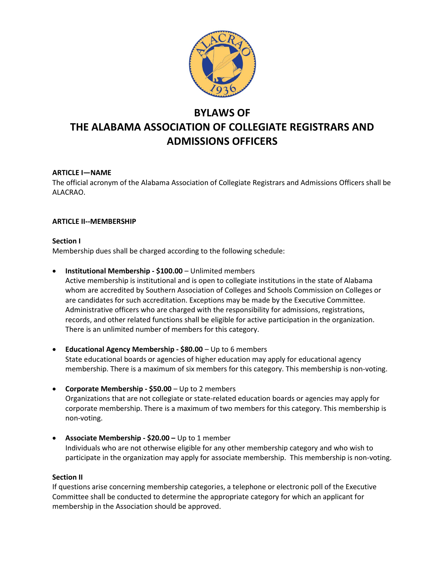

# BYLAWS OF THE ALABAMA ASSOCIATION OF COLLEGIATE REGISTRARS AND ADMISSIONS OFFICERS

# ARTICLE I—NAME

The official acronym of the Alabama Association of Collegiate Registrars and Admissions Officers shall be ALACRAO.

# ARTICLE II--MEMBERSHIP

## Section I

Membership dues shall be charged according to the following schedule:

Institutional Membership - \$100.00 – Unlimited members

Active membership is institutional and is open to collegiate institutions in the state of Alabama whom are accredited by Southern Association of Colleges and Schools Commission on Colleges or are candidates for such accreditation. Exceptions may be made by the Executive Committee. Administrative officers who are charged with the responsibility for admissions, registrations, records, and other related functions shall be eligible for active participation in the organization. There is an unlimited number of members for this category.

- **Educational Agency Membership \$80.00** Up to 6 members State educational boards or agencies of higher education may apply for educational agency membership. There is a maximum of six members for this category. This membership is non-voting.
- Corporate Membership  $$50.00 Up$  to 2 members Organizations that are not collegiate or state-related education boards or agencies may apply for corporate membership. There is a maximum of two members for this category. This membership is non-voting.
- Associate Membership  $$20.00 Up$  to 1 member Individuals who are not otherwise eligible for any other membership category and who wish to participate in the organization may apply for associate membership. This membership is non-voting.

## Section II

If questions arise concerning membership categories, a telephone or electronic poll of the Executive Committee shall be conducted to determine the appropriate category for which an applicant for membership in the Association should be approved.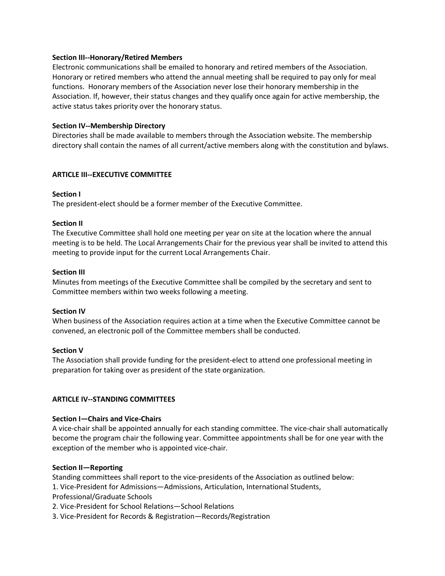#### Section III--Honorary/Retired Members

Electronic communications shall be emailed to honorary and retired members of the Association. Honorary or retired members who attend the annual meeting shall be required to pay only for meal functions. Honorary members of the Association never lose their honorary membership in the Association. If, however, their status changes and they qualify once again for active membership, the active status takes priority over the honorary status.

## Section IV--Membership Directory

Directories shall be made available to members through the Association website. The membership directory shall contain the names of all current/active members along with the constitution and bylaws.

#### ARTICLE III--EXECUTIVE COMMITTEE

#### Section I

The president-elect should be a former member of the Executive Committee.

#### Section II

The Executive Committee shall hold one meeting per year on site at the location where the annual meeting is to be held. The Local Arrangements Chair for the previous year shall be invited to attend this meeting to provide input for the current Local Arrangements Chair.

#### Section III

Minutes from meetings of the Executive Committee shall be compiled by the secretary and sent to Committee members within two weeks following a meeting.

## Section IV

When business of the Association requires action at a time when the Executive Committee cannot be convened, an electronic poll of the Committee members shall be conducted.

#### Section V

The Association shall provide funding for the president-elect to attend one professional meeting in preparation for taking over as president of the state organization.

## ARTICLE IV--STANDING COMMITTEES

#### Section I—Chairs and Vice-Chairs

A vice-chair shall be appointed annually for each standing committee. The vice-chair shall automatically become the program chair the following year. Committee appointments shall be for one year with the exception of the member who is appointed vice-chair.

## Section II—Reporting

Standing committees shall report to the vice-presidents of the Association as outlined below:

1. Vice-President for Admissions—Admissions, Articulation, International Students,

Professional/Graduate Schools

2. Vice-President for School Relations—School Relations

3. Vice-President for Records & Registration—Records/Registration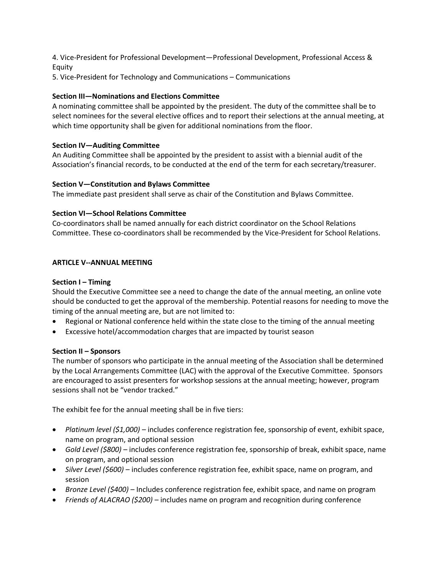4. Vice-President for Professional Development—Professional Development, Professional Access & Equity

5. Vice-President for Technology and Communications – Communications

# Section III—Nominations and Elections Committee

A nominating committee shall be appointed by the president. The duty of the committee shall be to select nominees for the several elective offices and to report their selections at the annual meeting, at which time opportunity shall be given for additional nominations from the floor.

## Section IV—Auditing Committee

An Auditing Committee shall be appointed by the president to assist with a biennial audit of the Association's financial records, to be conducted at the end of the term for each secretary/treasurer.

#### Section V—Constitution and Bylaws Committee

The immediate past president shall serve as chair of the Constitution and Bylaws Committee.

## Section VI—School Relations Committee

Co-coordinators shall be named annually for each district coordinator on the School Relations Committee. These co-coordinators shall be recommended by the Vice-President for School Relations.

#### ARTICLE V--ANNUAL MEETING

#### Section I – Timing

Should the Executive Committee see a need to change the date of the annual meeting, an online vote should be conducted to get the approval of the membership. Potential reasons for needing to move the timing of the annual meeting are, but are not limited to:

- Regional or National conference held within the state close to the timing of the annual meeting
- Excessive hotel/accommodation charges that are impacted by tourist season

## Section II – Sponsors

The number of sponsors who participate in the annual meeting of the Association shall be determined by the Local Arrangements Committee (LAC) with the approval of the Executive Committee. Sponsors are encouraged to assist presenters for workshop sessions at the annual meeting; however, program sessions shall not be "vendor tracked."

The exhibit fee for the annual meeting shall be in five tiers:

- Platinum level (\$1,000) includes conference registration fee, sponsorship of event, exhibit space, name on program, and optional session
- Gold Level (\$800) includes conference registration fee, sponsorship of break, exhibit space, name on program, and optional session
- Silver Level (\$600) includes conference registration fee, exhibit space, name on program, and session
- Bronze Level (\$400) Includes conference registration fee, exhibit space, and name on program
- Friends of ALACRAO (\$200) includes name on program and recognition during conference